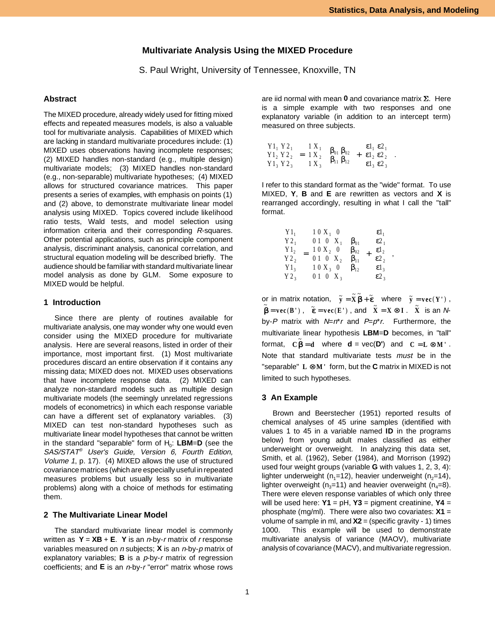# **Multivariate Analysis Using the MIXED Procedure**

S. Paul Wright, University of Tennessee, Knoxville, TN

# **Abstract**

The MIXED procedure, already widely used for fitting mixed effects and repeated measures models, is also a valuable tool for multivariate analysis. Capabilities of MIXED which are lacking in standard multivariate procedures include: (1) MIXED uses observations having incomplete responses; (2) MIXED handles non-standard (e.g., multiple design) multivariate models; (3) MIXED handles non-standard (e.g., non-separable) multivariate hypotheses; (4) MIXED allows for structured covariance matrices. This paper presents a series of examples, with emphasis on points (1) and (2) above, to demonstrate multivariate linear model analysis using MIXED. Topics covered include likelihood ratio tests, Wald tests, and model selection using information criteria and their corresponding R-squares. Other potential applications, such as principle component analysis, discriminant analysis, canonical correlation, and structural equation modeling will be described briefly. The audience should be familiar with standard multivariate linear model analysis as done by GLM. Some exposure to MIXED would be helpful.

## **1 Introduction**

Since there are plenty of routines available for multivariate analysis, one may wonder why one would even consider using the MIXED procedure for multivariate analysis. Here are several reasons, listed in order of their importance, most important first. (1) Most multivariate procedures discard an entire observation if it contains any missing data; MIXED does not. MIXED uses observations that have incomplete response data. (2) MIXED can analyze non-standard models such as multiple design multivariate models (the seemingly unrelated regressions models of econometrics) in which each response variable can have a different set of explanatory variables. (3) MIXED can test non-standard hypotheses such as multivariate linear model hypotheses that cannot be written in the standard "separable" form of  $H_0$ : **LBM=D** (see the SAS/STAT® User's Guide, Version 6, Fourth Edition, Volume 1, p. 17). (4) MIXED allows the use of structured covariance matrices (which are especially useful in repeated measures problems but usually less so in multivariate problems) along with a choice of methods for estimating them.

### **2 The Multivariate Linear Model**

The standard multivariate linear model is commonly written as  $Y = XB + E$ . Y is an *n*-by-*r* matrix of *r* response variables measured on n subjects; **X** is an n-by-p matrix of explanatory variables; **B** is a p-by-r matrix of regression coefficients; and **E** is an n-by-r "error" matrix whose rows are iid normal with mean  $0$  and covariance matrix  $\Sigma$ . Here is a simple example with two responses and one explanatory variable (in addition to an intercept term) measured on three subjects.

$$
\begin{pmatrix} Y1_1 & Y2_1 \ Y1_2 & Y2_2 \ Y1_3 & Y2_3 \end{pmatrix} = \begin{pmatrix} 1 & X_1 \ 1 & X_2 \ 1 & X_3 \end{pmatrix} \begin{pmatrix} \beta_{01} & \beta_{02} \ \beta_{11} & \beta_{12} \end{pmatrix} + \begin{pmatrix} \epsilon 1_1 & \epsilon 2_1 \ \epsilon 1_2 & \epsilon 2_2 \ \epsilon 1_3 & \epsilon 2_3 \end{pmatrix}.
$$

I refer to this standard format as the "wide" format. To use MIXED, **Y**, **B** and **E** are rewritten as vectors and **X** is rearranged accordingly, resulting in what I call the "tall" format.

| $Y2_1$<br>$Y1_{3}$<br>Y2 <sub>3</sub> | X<br>$10X_2$<br>0<br>$\boldsymbol{0}$<br>$\mbox{X}_{\,2}$<br>$1\ 0$<br>$X_3$<br>0 | $\beta_{01}$<br>$\beta_{02}$<br>▌<br>$\beta_{11}$<br>$\beta_{12}$ | $\varepsilon$ l<br>$\varepsilon$ 2<br>$\epsilon$ <sub>1</sub><br>$\epsilon$ <sup>2</sup> <sub>2</sub><br>$\epsilon$ <sub>3</sub> | $\overline{\phantom{a}}$ |
|---------------------------------------|-----------------------------------------------------------------------------------|-------------------------------------------------------------------|----------------------------------------------------------------------------------------------------------------------------------|--------------------------|
|                                       | $X_3$                                                                             |                                                                   | $\varepsilon$ 2 <sub>3</sub>                                                                                                     |                          |

or in matrix notation,  $~\tilde{\mathbf{y}} = \tilde{\mathbf{X}} \tilde{\mathbf{\beta}} + \tilde{\mathbf{\epsilon}}$  where  $~\tilde{\mathbf{y}} = \mathbf{vec}(\mathbf{Y}')$ ,  $\widetilde{\mathbf{B}} = \mathbf{vec}(\mathbf{B}^+)$ ,  $\widetilde{\mathbf{\varepsilon}} = \mathbf{vec}(\mathbf{E}^+)$ , and  $\widetilde{\mathbf{X}} = \mathbf{X} \otimes \mathbf{I}$ .  $\widetilde{\mathbf{X}}$  is an  $\mathbf{N}$ by-P matrix with  $N=n^*r$  and  $P=p^*r$ . Furthermore, the multivariate linear hypothesis **LBM**=**D** becomes, in "tall" format,  $C\tilde{\beta} = d$  where  $d = vec(D')$  and  $C = L \otimes M'$ . Note that standard multivariate tests must be in the "separable" L ⊗M' form, but the **C** matrix in MIXED is not limited to such hypotheses.

### **3 An Example**

Brown and Beerstecher (1951) reported results of chemical analyses of 45 urine samples (identified with values 1 to 45 in a variable named **ID** in the programs below) from young adult males classified as either underweight or overweight. In analyzing this data set, Smith, et al. (1962), Seber (1984), and Morrison (1992) used four weight groups (variable **G** with values 1, 2, 3, 4): lighter underweight (n<sub>1</sub>=12), heavier underweight (n<sub>2</sub>=14), lighter overweight ( $n_3$ =11) and heavier overweight ( $n_4$ =8). There were eleven response variables of which only three will be used here: **Y1** = pH, **Y3** = pigment creatinine, **Y4** = phosphate (mg/ml). There were also two covariates: **X1** = volume of sample in ml, and **X2** = (specific gravity - 1) times 1000. This example will be used to demonstrate multivariate analysis of variance (MAOV), multivariate analysis of covariance (MACV), and multivariate regression.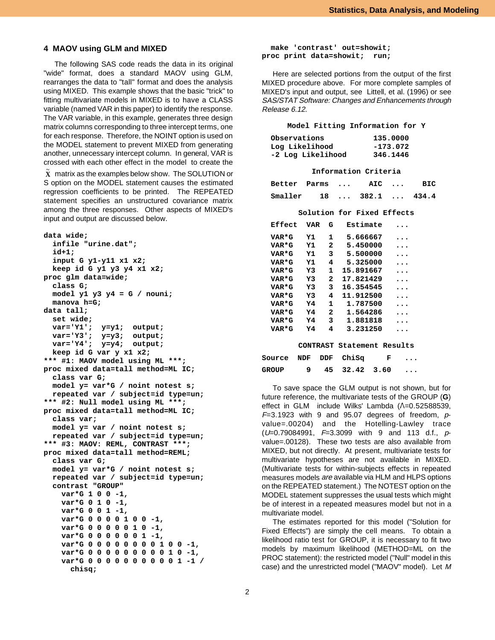## **4 MAOV using GLM and MIXED**

The following SAS code reads the data in its original "wide" format, does a standard MAOV using GLM, rearranges the data to "tall" format and does the analysis using MIXED. This example shows that the basic "trick" to fitting multivariate models in MIXED is to have a CLASS variable (named VAR in this paper) to identify the response. The VAR variable, in this example, generates three design matrix columns corresponding to three intercept terms, one for each response. Therefore, the NOINT option is used on the MODEL statement to prevent MIXED from generating another, unnecessary intercept column. In general, VAR is crossed with each other effect in the model to create the

 $\tilde{\textbf{X}}$  matrix as the examples below show. The SOLUTION or S option on the MODEL statement causes the estimated regression coefficients to be printed. The REPEATED statement specifies an unstructured covariance matrix among the three responses. Other aspects of MIXED's input and output are discussed below.

```
data wide;
   infile "urine.dat";
   id+1;
   input G y1-y11 x1 x2;
   keep id G y1 y3 y4 x1 x2;
proc glm data=wide;
   class G;
   model y1 y3 y4 = G / nouni;
   manova h=G;
data tall;
   set wide;
   var='Y1'; y=y1; output;
  var='Y3'; y=y3; output;
  var='Y4'; y=y4; output;
  keep id G var y x1 x2;
*** #1: MAOV model using ML ***;
proc mixed data=tall method=ML IC;
   class var G;
   model y= var*G / noint notest s;
   repeated var / subject=id type=un;
*** #2: Null model using ML ***;
proc mixed data=tall method=ML IC;
   class var;
  model y= var / noint notest s;
   repeated var / subject=id type=un;
*** #3: MAOV: REML, CONTRAST ***;
proc mixed data=tall method=REML;
   class var G;
   model y= var*G / noint notest s;
   repeated var / subject=id type=un;
   contrast "GROUP"
     var*G 1 0 0 -1,
     var*G 0 1 0 -1,
     var*G 0 0 1 -1,
     var*G 0 0 0 0 1 0 0 -1,
     var*G 0 0 0 0 0 1 0 -1,
     var*G 0 0 0 0 0 0 1 -1,
     var*G 0 0 0 0 0 0 0 0 1 0 0 -1,
     var*G 0 0 0 0 0 0 0 0 0 1 0 -1,
     var*G 0 0 0 0 0 0 0 0 0 0 1 -1 /
       chisq;
```
#### **make 'contrast' out=showit; proc print data=showit; run;**

Here are selected portions from the output of the first MIXED procedure above. For more complete samples of MIXED's input and output, see Littell, et al. (1996) or see SAS/STAT Software: Changes and Enhancements through Release 6.12.

#### **Model Fitting Information for Y**

| Observations      | 135.0000   |
|-------------------|------------|
| Log Likelihood    | $-173.072$ |
| -2 Log Likelihood | 346.1446   |

|                          |  | Information Criteria |  |
|--------------------------|--|----------------------|--|
| Better Parms  AIC  BIC   |  |                      |  |
| Smaller 18  382.1  434.4 |  |                      |  |

**Solution for Fixed Effects**

| Effect       | VAR      | G   | Estimate          |      |  |
|--------------|----------|-----|-------------------|------|--|
| VAR*G        | Y1       | 1   | 5.666667          |      |  |
| VAR*G        | Y1       | 2   | 5.450000          |      |  |
| <b>VAR*G</b> | Υ1       | 3   | 5.500000          |      |  |
| VAR*G        | Υ1       | 4   | 5.325000          |      |  |
| VAR*G        | Y3       | 1   | 15.891667         |      |  |
| VAR*G        | Y3       | 2   | 17.821429         |      |  |
| VAR*G        | Y3       | 3   | 16.354545         |      |  |
| VAR*G        | Y3       | 4   | 11.912500         |      |  |
| VAR*G        | Y4       | 1   | 1.787500          |      |  |
| VAR*G        | Y4       | 2   | 1.564286          |      |  |
| VAR*G        | Y4       | 3   | 1.881818          |      |  |
| VAR*G        | Y4       | 4   | 3.231250          |      |  |
|              | CONTRAST |     | Statement Results |      |  |
| Source       | NDF      | DDF | ChiSq             | F    |  |
| GROUP        | 9        | 45  | 32.42             | 3.60 |  |

To save space the GLM output is not shown, but for future reference, the multivariate tests of the GROUP (**G**) effect in GLM include Wilks' Lambda  $(A=0.52588539,$  $F=3.1923$  with 9 and 95.07 degrees of freedom,  $p$ value=.00204) and the Hotelling-Lawley trace  $(U=0.79084991, F=3.3099$  with 9 and 113 d.f., pvalue=.00128). These two tests are also available from MIXED, but not directly. At present, multivariate tests for multivariate hypotheses are not available in MIXED. (Multivariate tests for within-subjects effects in repeated measures models are available via HLM and HLPS options on the REPEATED statement.) The NOTEST option on the MODEL statement suppresses the usual tests which might be of interest in a repeated measures model but not in a multivariate model.

The estimates reported for this model ("Solution for Fixed Effects") are simply the cell means. To obtain a likelihood ratio test for GROUP, it is necessary to fit two models by maximum likelihood (METHOD=ML on the PROC statement): the restricted model ("Null" model in this case) and the unrestricted model ("MAOV" model). Let M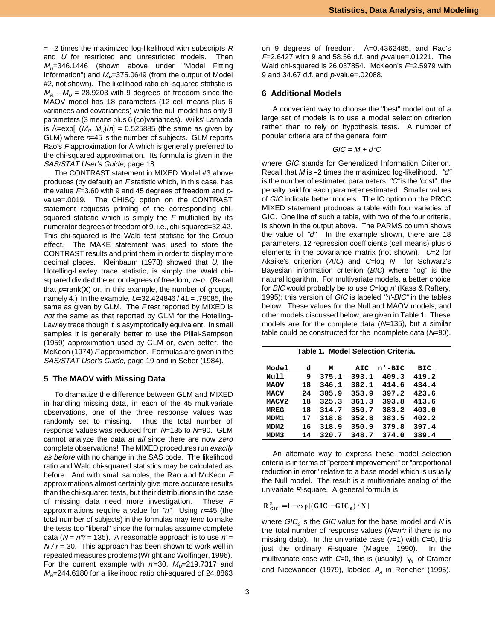$=$  -2 times the maximized log-likelihood with subscripts R and U for restricted and unrestricted models. Then  $M_{\nu}=346.1446$  (shown above under "Model Fitting Information") and  $M_R$ =375.0649 (from the output of Model<br>#2, not shown). The likelihood ratio chi-squared statistic is<br> $M_R - M_U = 28.9203$  with 9 degrees of freedom since the #2, not shown). The likelihood ratio chi-squared statistic is MAOV model has 18 parameters (12 cell means plus 6 variances and covariances) while the null model has only 9 parameters (3 means plus 6 (co)variances). Wilks' Lambda is  $\Lambda = \exp[-(M_R - M_U)/n] = 0.525885$  (the same as given by GLM) where  $n=45$  is the number of subjects. GLM reports Rao's  $F$  approximation for  $\wedge$  which is generally preferred to the chi-squared approximation. Its formula is given in the SAS/STAT User's Guide, page 18.

The CONTRAST statement in MIXED Model #3 above produces (by default) an F statistic which, in this case, has the value  $F=3.60$  with 9 and 45 degrees of freedom and  $p$ value=.0019. The CHISQ option on the CONTRAST statement requests printing of the corresponding chisquared statistic which is simply the  $F$  multiplied by its numerator degrees of freedom of 9, i.e., chi-squared=32.42. This chi-squared is the Wald test statistic for the Group effect. The MAKE statement was used to store the CONTRAST results and print them in order to display more decimal places. Kleinbaum (1973) showed that  $U$ , the Hotelling-Lawley trace statistic, is simply the Wald chisquared divided the error degrees of freedom,  $n-p$ . (Recall that  $p=rank(X)$  or, in this example, the number of groups, namely 4.) In the example, U=32.424846 / 41 = .79085, the same as given by GLM. The F test reported by MIXED is not the same as that reported by GLM for the Hotelling-Lawley trace though it is asymptotically equivalent. In small samples it is generally better to use the Pillai-Sampson (1959) approximation used by GLM or, even better, the McKeon (1974) F approximation. Formulas are given in the SAS/STAT User's Guide, page 19 and in Seber (1984).

#### **5 The MAOV with Missing Data**

To dramatize the difference between GLM and MIXED in handling missing data, in each of the 45 multivariate observations, one of the three response values was randomly set to missing. Thus the total number of response values was reduced from  $N=135$  to  $N=90$ . GLM cannot analyze the data at all since there are now zero complete observations! The MIXED procedures run exactly as before with no change in the SAS code. The likelihood ratio and Wald chi-squared statistics may be calculated as before. And with small samples, the Rao and McKeon F approximations almost certainly give more accurate results than the chi-squared tests, but their distributions in the case of missing data need more investigation. These F approximations require a value for " $n$ ". Using  $n=45$  (the total number of subjects) in the formulas may tend to make the tests too "liberal" since the formulas assume complete data ( $N = n^*r = 135$ ). A reasonable approach is to use  $n' =$  $N/r = 30$ . This approach has been shown to work well in repeated measures problems (Wright and Wolfinger, 1996). For the current example with  $n=30$ ,  $M_U=219.7317$  and  $M_R$ =244.6180 for a likelihood ratio chi-squared of 24.8863 on 9 degrees of freedom.  $\Lambda = 0.4362485$ , and Rao's  $F=2.6427$  with 9 and 58.56 d.f. and  $p$ -value=.01221. The Wald chi-squared is 26.037854. McKeon's  $F=2.5979$  with 9 and 34.67 d.f. and p-value=.02088.

# **6 Additional Models**

A convenient way to choose the "best" model out of a large set of models is to use a model selection criterion rather than to rely on hypothesis tests. A number of popular criteria are of the general form

$$
GIC = M + d^*C
$$

where GIC stands for Generalized Information Criterion.  $GIC = M + d^{\star}C$ <br>where *GIC* stands for Generalized Information Criterion.<br>Recall that *M* is –2 times the maximized log-likelihood. "d" is the number of estimated parameters; "C" is the "cost", the penalty paid for each parameter estimated. Smaller values of GIC indicate better models. The IC option on the PROC MIXED statement produces a table with four varieties of GIC. One line of such a table, with two of the four criteria, is shown in the output above. The PARMS column shows the value of "d". In the example shown, there are 18 parameters, 12 regression coefficients (cell means) plus 6 elements in the covariance matrix (not shown).  $C=2$  for Akaike's criterion  $(AIC)$  and  $C = \log N$  for Schwarz's Bayesian information criterion (BIC) where "log" is the natural logarithm. For multivariate models, a better choice for BIC would probably be to use C=log n' (Kass & Raftery, 1995); this version of GIC is labeled "n'-BIC" in the tables below. These values for the Null and MAOV models, and other models discussed below, are given in Table 1. These models are for the complete data ( $N=135$ ), but a similar table could be constructed for the incomplete data (N=90).

**Table 1. Model Selection Criteria.**

| Model            | d  | М     | AIC   | n'-BIC | BIC   |
|------------------|----|-------|-------|--------|-------|
| Null             | 9  | 375.1 | 393.1 | 409.3  | 419.2 |
| <b>MAOV</b>      | 18 | 346.1 | 382.1 | 414.6  | 434.4 |
| MACV             | 24 | 305.9 | 353.9 | 397.2  | 423.6 |
| MACV2            | 18 | 325.3 | 361.3 | 393.8  | 413.6 |
| MREG             | 18 | 314.7 | 350.7 | 383.2  | 403.0 |
| MDM1             | 17 | 318.8 | 352.8 | 383.5  | 402.2 |
| MDM <sub>2</sub> | 16 | 318.9 | 350.9 | 379.8  | 397.4 |
| MDM3             | 14 | 320.7 | 348.7 | 374.0  | 389.4 |

An alternate way to express these model selection criteria is in terms of "percent improvement" or "proportional reduction in error" relative to a base model which is usually the Null model. The result is a multivariate analog of the univariate R-square. A general formula is

$$
R_{\text{ GIC}}^2 = 1 - \exp[(GIC - GIC_0) / N]
$$

where  $GIC<sub>0</sub>$  is the GIC value for the base model and N is the total number of response values  $(N=n^*r)$  if there is no missing data). In the univariate case  $(r=1)$  with  $C=0$ , this just the ordinary R-square (Magee, 1990). In the multivariate case with C=0, this is (usually)  $\hat{\gamma}_5$  of Cramer and Nicewander (1979), labeled  $A<sub>A</sub>$  in Rencher (1995).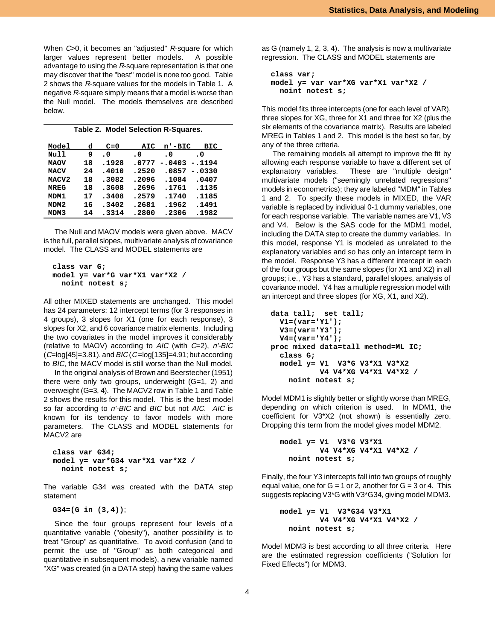When C>0, it becomes an "adjusted" R-square for which larger values represent better models. A possible advantage to using the R-square representation is that one may discover that the "best" model is none too good. Table 2 shows the R-square values for the models in Table 1. A negative R-square simply means that a model is worse than the Null model. The models themselves are described below.

| Table 2. Model Selection R-Squares. |    |       |        |          |           |  |
|-------------------------------------|----|-------|--------|----------|-----------|--|
| Model                               | d  | $C=0$ | AIC    | n'-BIC   | BIC       |  |
| Null                                | 9  | . 0   | . 0    | . 0      | $\cdot$ 0 |  |
| <b>MAOV</b>                         | 18 | .1928 | .0777  | $-.0403$ | $-.1194$  |  |
| <b>MACV</b>                         | 24 | .4010 | .2520  | .0857    | $-.0330$  |  |
| MACV2                               | 18 | .3082 | .2096  | .1084    | .0407     |  |
| <b>MREG</b>                         | 18 | .3608 | . 2696 | .1761    | .1135     |  |
| MDM1                                | 17 | .3408 | .2579  | .1740    | .1185     |  |
| MDM <sub>2</sub>                    | 16 | .3402 | .2681  | .1962    | .1491     |  |
| MDM3                                | 14 | .3314 | .2800  | .2306    | .1982     |  |
|                                     |    |       |        |          |           |  |

The Null and MAOV models were given above. MACV is the full, parallel slopes, multivariate analysis of covariance model. The CLASS and MODEL statements are

```
 class var G;
 model y= var*G var*X1 var*X2 /
   noint notest s;
```
All other MIXED statements are unchanged. This model has 24 parameters: 12 intercept terms (for 3 responses in 4 groups), 3 slopes for X1 (one for each response), 3 slopes for X2, and 6 covariance matrix elements. Including the two covariates in the model improves it considerably (relative to MAOV) according to  $AIC$  (with  $C=2$ ),  $n'$ -BIC  $(C=log[45]=3.81)$ , and  $B/C(C=log[135]=4.91$ ; but according to BIC, the MACV model is still worse than the Null model.

In the original analysis of Brown and Beerstecher (1951) there were only two groups, underweight  $(G=1, 2)$  and overweight (G=3, 4). The MACV2 row in Table 1 and Table 2 shows the results for this model. This is the best model so far according to n'-BIC and BIC but not AIC. AIC is known for its tendency to favor models with more parameters. The CLASS and MODEL statements for MACV2 are

```
 class var G34;
 model y= var*G34 var*X1 var*X2 /
   noint notest s;
```
The variable G34 was created with the DATA step statement

 **G34=(G in (3,4))**;

 Since the four groups represent four levels of a quantitative variable ("obesity"), another possibility is to treat "Group" as quantitative. To avoid confusion (and to permit the use of "Group" as both categorical and quantitative in subsequent models), a new variable named "XG" was created (in a DATA step) having the same values as G (namely 1, 2, 3, 4). The analysis is now a multivariate regression. The CLASS and MODEL statements are

```
 class var;
 model y= var var*XG var*X1 var*X2 /
   noint notest s;
```
This model fits three intercepts (one for each level of VAR), three slopes for XG, three for X1 and three for X2 (plus the six elements of the covariance matrix). Results are labeled MREG in Tables 1 and 2. This model is the best so far, by any of the three criteria.

The remaining models all attempt to improve the fit by allowing each response variable to have a different set of explanatory variables. These are "multiple design" multivariate models ("seemingly unrelated regressions" models in econometrics); they are labeled "MDM" in Tables 1 and 2. To specify these models in MIXED, the VAR variable is replaced by individual 0-1 dummy variables, one for each response variable. The variable names are V1, V3 and V4. Below is the SAS code for the MDM1 model, including the DATA step to create the dummy variables. In this model, response Y1 is modeled as unrelated to the explanatory variables and so has only an intercept term in the model. Response Y3 has a different intercept in each of the four groups but the same slopes (for X1 and X2) in all groups; i.e., Y3 has a standard, parallel slopes, analysis of covariance model. Y4 has a multiple regression model with an intercept and three slopes (for XG, X1, and X2).

```
 data tall; set tall;
   V1=(var='Y1');
   V3=(var='Y3');
  V4=(var='Y4');
 proc mixed data=tall method=ML IC;
   class G;
  model y= V1 V3*G V3*X1 V3*X2
            V4 V4*XG V4*X1 V4*X2 /
     noint notest s;
```
Model MDM1 is slightly better or slightly worse than MREG, depending on which criterion is used. In MDM1, the coefficient for V3\*X2 (not shown) is essentially zero. Dropping this term from the model gives model MDM2.

```
 model y= V1 V3*G V3*X1
          V4 V4*XG V4*X1 V4*X2 /
   noint notest s;
```
Finally, the four Y3 intercepts fall into two groups of roughly equal value, one for  $G = 1$  or 2, another for  $G = 3$  or 4. This suggests replacing V3\*G with V3\*G34, giving model MDM3.

```
 model y= V1 V3*G34 V3*X1
          V4 V4*XG V4*X1 V4*X2 /
   noint notest s;
```
Model MDM3 is best according to all three criteria. Here are the estimated regression coefficients ("Solution for Fixed Effects") for MDM3.